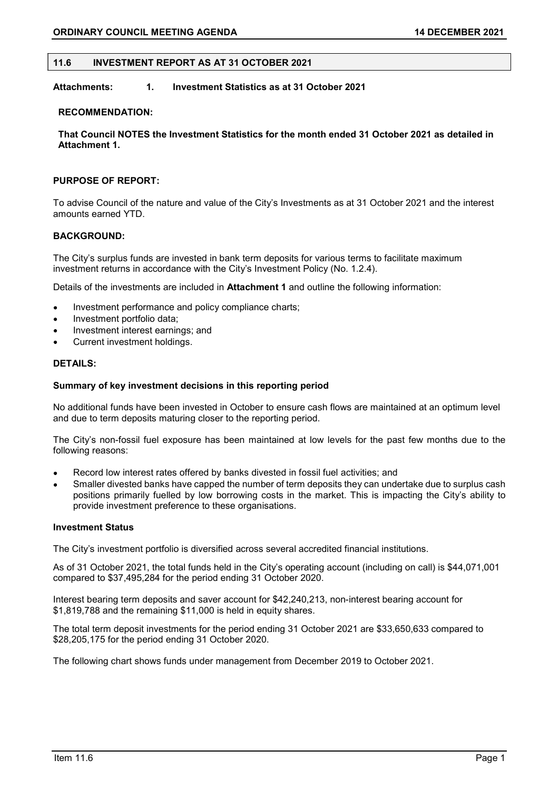## 11.6 INVESTMENT REPORT AS AT 31 OCTOBER 2021

# Attachments: 1. Investment Statistics as at 31 October 2021

#### RECOMMENDATION:

That Council NOTES the Investment Statistics for the month ended 31 October 2021 as detailed in Attachment 1.

## PURPOSE OF REPORT:

To advise Council of the nature and value of the City's Investments as at 31 October 2021 and the interest amounts earned YTD.

## BACKGROUND:

The City's surplus funds are invested in bank term deposits for various terms to facilitate maximum investment returns in accordance with the City's Investment Policy (No. 1.2.4).

Details of the investments are included in Attachment 1 and outline the following information:

- Investment performance and policy compliance charts;
- Investment portfolio data;
- Investment interest earnings; and
- Current investment holdings.

## DETAILS:

#### Summary of key investment decisions in this reporting period

No additional funds have been invested in October to ensure cash flows are maintained at an optimum level and due to term deposits maturing closer to the reporting period.

The City's non-fossil fuel exposure has been maintained at low levels for the past few months due to the following reasons:

- Record low interest rates offered by banks divested in fossil fuel activities; and  $\bullet$
- Smaller divested banks have capped the number of term deposits they can undertake due to surplus cash positions primarily fuelled by low borrowing costs in the market. This is impacting the City's ability to provide investment preference to these organisations.

#### Investment Status

The City's investment portfolio is diversified across several accredited financial institutions.

As of 31 October 2021, the total funds held in the City's operating account (including on call) is \$44,071,001 compared to \$37,495,284 for the period ending 31 October 2020.

Interest bearing term deposits and saver account for \$42,240,213, non-interest bearing account for \$1,819,788 and the remaining \$11,000 is held in equity shares.

The total term deposit investments for the period ending 31 October 2021 are \$33,650,633 compared to \$28,205,175 for the period ending 31 October 2020.

The following chart shows funds under management from December 2019 to October 2021.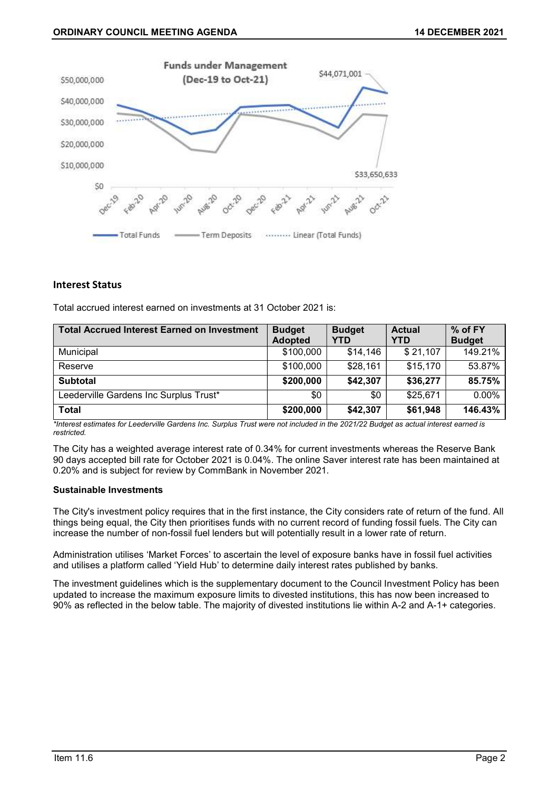

# Interest Status

Total accrued interest earned on investments at 31 October 2021 is:

| <b>Total Accrued Interest Earned on Investment</b> | <b>Budget</b><br><b>Adopted</b> | <b>Budget</b><br><b>YTD</b> | <b>Actual</b><br>YTD | % of FY<br><b>Budget</b> |
|----------------------------------------------------|---------------------------------|-----------------------------|----------------------|--------------------------|
| Municipal                                          | \$100,000                       | \$14,146                    | \$21,107             | 149.21%                  |
| Reserve                                            | \$100,000                       | \$28,161                    | \$15,170             | 53.87%                   |
| <b>Subtotal</b>                                    | \$200,000                       | \$42,307                    | \$36,277             | 85.75%                   |
| Leederville Gardens Inc Surplus Trust*             | \$0                             | \$0                         | \$25,671             | 0.00%                    |
| <b>Total</b>                                       | \$200,000                       | \$42,307                    | \$61,948             | 146.43%                  |

\*Interest estimates for Leederville Gardens Inc. Surplus Trust were not included in the 2021/22 Budget as actual interest earned is restricted.

The City has a weighted average interest rate of 0.34% for current investments whereas the Reserve Bank 90 days accepted bill rate for October 2021 is 0.04%. The online Saver interest rate has been maintained at 0.20% and is subject for review by CommBank in November 2021.

### Sustainable Investments

The City's investment policy requires that in the first instance, the City considers rate of return of the fund. All things being equal, the City then prioritises funds with no current record of funding fossil fuels. The City can increase the number of non-fossil fuel lenders but will potentially result in a lower rate of return.

Administration utilises 'Market Forces' to ascertain the level of exposure banks have in fossil fuel activities and utilises a platform called 'Yield Hub' to determine daily interest rates published by banks.

The investment guidelines which is the supplementary document to the Council Investment Policy has been updated to increase the maximum exposure limits to divested institutions, this has now been increased to 90% as reflected in the below table. The majority of divested institutions lie within A-2 and A-1+ categories.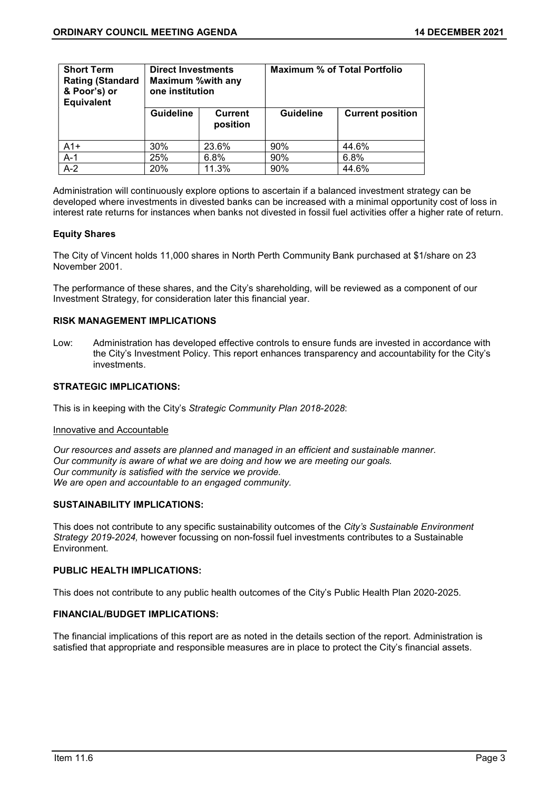| <b>Short Term</b><br><b>Rating (Standard</b><br>& Poor's) or<br><b>Equivalent</b> | <b>Direct Investments</b><br><b>Maximum %with any</b><br>one institution |                            | <b>Maximum % of Total Portfolio</b> |                         |  |
|-----------------------------------------------------------------------------------|--------------------------------------------------------------------------|----------------------------|-------------------------------------|-------------------------|--|
|                                                                                   | <b>Guideline</b>                                                         | <b>Current</b><br>position | <b>Guideline</b>                    | <b>Current position</b> |  |
| $A1+$                                                                             | 30%                                                                      | 23.6%                      | 90%                                 | 44.6%                   |  |
| $A-1$                                                                             | 25%                                                                      | 6.8%                       | 90%                                 | 6.8%                    |  |
| $A-2$                                                                             | 20%                                                                      | 11.3%                      | 90%                                 | 44.6%                   |  |

Administration will continuously explore options to ascertain if a balanced investment strategy can be developed where investments in divested banks can be increased with a minimal opportunity cost of loss in interest rate returns for instances when banks not divested in fossil fuel activities offer a higher rate of return.

# Equity Shares

The City of Vincent holds 11,000 shares in North Perth Community Bank purchased at \$1/share on 23 November 2001.

The performance of these shares, and the City's shareholding, will be reviewed as a component of our Investment Strategy, for consideration later this financial year.

# RISK MANAGEMENT IMPLICATIONS

Low: Administration has developed effective controls to ensure funds are invested in accordance with the City's Investment Policy. This report enhances transparency and accountability for the City's investments.

# STRATEGIC IMPLICATIONS:

This is in keeping with the City's Strategic Community Plan 2018-2028:

### Innovative and Accountable

Our resources and assets are planned and managed in an efficient and sustainable manner. Our community is aware of what we are doing and how we are meeting our goals. Our community is satisfied with the service we provide. We are open and accountable to an engaged community.

# SUSTAINABILITY IMPLICATIONS:

This does not contribute to any specific sustainability outcomes of the City's Sustainable Environment Strategy 2019-2024, however focussing on non-fossil fuel investments contributes to a Sustainable Environment.

## PUBLIC HEALTH IMPLICATIONS:

This does not contribute to any public health outcomes of the City's Public Health Plan 2020-2025.

# FINANCIAL/BUDGET IMPLICATIONS:

The financial implications of this report are as noted in the details section of the report. Administration is satisfied that appropriate and responsible measures are in place to protect the City's financial assets.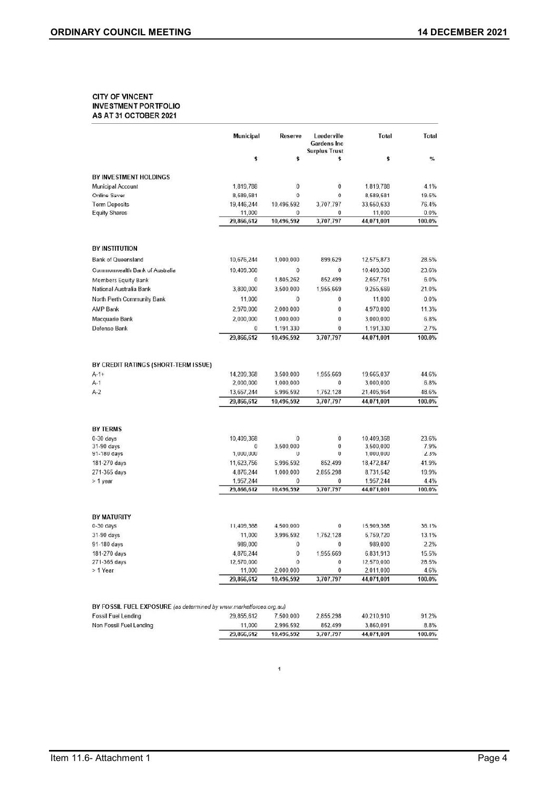#### **CITY OF VINCENT INVESTMENT PORTFOLIO** AS AT 31 OCTOBER 2021

|                                                                  | <b>Municipal</b>                                    | Reserve                                           | Leederville<br><b>Gardens Inc.</b><br><b>Surplus Trust</b> | Total                                               | Total                            |
|------------------------------------------------------------------|-----------------------------------------------------|---------------------------------------------------|------------------------------------------------------------|-----------------------------------------------------|----------------------------------|
|                                                                  | \$                                                  | \$                                                | \$                                                         | \$                                                  | %                                |
| BY INVESTMENT HOLDINGS                                           |                                                     |                                                   |                                                            |                                                     |                                  |
| Municipal Account                                                | 1,819,788                                           | $\pmb{0}$                                         | $\bf{0}$                                                   | 1,819,788                                           | 4.1%                             |
| <b>Online Saver</b>                                              | 8,589,581                                           | $\bf{0}$                                          | $\mathbf 0$                                                | 8,589,581                                           | 19.5%                            |
| <b>Term Deposits</b>                                             | 19,446,244                                          | 10.496,592                                        | 3,707,797                                                  | 33,650,633                                          | 76.4%                            |
| <b>Equity Shares</b>                                             | 11,000                                              | 0                                                 | 0                                                          | 11,000                                              | 0.0%<br>100.0%                   |
|                                                                  | 29,866,612                                          | 10,496,592                                        | 3,707,797                                                  | 44,071,001                                          |                                  |
| <b>BY INSTITUTION</b>                                            |                                                     |                                                   |                                                            |                                                     |                                  |
| <b>Bank of Queensland</b>                                        | 10,676,244                                          | 1,000,000                                         | 899,629                                                    | 12,575,873                                          | 28.5%                            |
| Commonwealth Bank of Australia                                   | 10,409,368                                          | $\pmb{0}$                                         | $\bf 0$                                                    | 10,409,368                                          | 23.6%                            |
|                                                                  | $\theta$                                            | 1,805,262                                         | 852,499                                                    | 2,657,761                                           | 6.0%                             |
| <b>Members Equity Bank</b><br>National Australia Bank            | 3,800,000                                           | 3,500,000                                         | 1,955,669                                                  | 9,255,669                                           | 21.0%                            |
|                                                                  |                                                     |                                                   | 0                                                          |                                                     | 0.0%                             |
| North Perth Community Bank                                       | 11,000                                              | $\bf{0}$                                          |                                                            | 11,000                                              |                                  |
| <b>AMP Bank</b>                                                  | 2,970,000                                           | 2,000,000                                         | 0                                                          | 4,970,000                                           | 11.3%                            |
| Macquarie Bank                                                   | 2,000,000                                           | 1,000,000                                         | $\bf{0}$                                                   | 3,000,000                                           | 6.8%                             |
| Defense Bank                                                     | $\bf{0}$<br>29,866,612                              | 1,191,330<br>10,496,592                           | $\bf{0}$<br>3,707,797                                      | 1,191,330<br>44,071,001                             | 2.7%<br>100.0%                   |
| BY CREDIT RATINGS (SHORT-TERM ISSUE)<br>$A-1+$<br>$A-1$<br>$A-2$ | 14,209,368<br>2,000,000<br>13,657,244<br>29,866,612 | 3,500,000<br>1,000,000<br>5.996.592<br>10,496,592 | 1.955.669<br>0<br>1,752,128<br>3,707,797                   | 19,665.037<br>3,000,000<br>21,405,964<br>44,071,001 | 44.6%<br>6.8%<br>48.6%<br>100.0% |
| <b>BY TERMS</b>                                                  |                                                     |                                                   |                                                            |                                                     |                                  |
| $0-30$ days                                                      | 10,409,368                                          | $\bf{0}$                                          | $\bf{0}$                                                   | 10,409,368                                          | 23.6%                            |
| 31-90 days                                                       | 0                                                   | 3.500.000                                         | $\bf{0}$                                                   | 3.500.000                                           | 7.9%                             |
| 91-180 days                                                      | 1,000,000                                           | 0                                                 | $\Omega$                                                   | 1,000,000                                           | 2.3%                             |
| 181-270 days                                                     | 11,623,756                                          | 5,996,592                                         | 852,499                                                    | 18,472,847                                          | 41.9%                            |
| 271-365 days                                                     | 4,876,244                                           | 1,000,000                                         | 2,855,298                                                  | 8,731,542                                           | 19.9%                            |
| > 1 year                                                         | 1,957,244<br>29,866,612                             | 0<br>10,496,592                                   | 0<br>3,707,797                                             | 1,957,244<br>44,071,001                             | 4.4%<br>100.0%                   |
|                                                                  |                                                     |                                                   |                                                            |                                                     |                                  |
|                                                                  |                                                     |                                                   |                                                            |                                                     |                                  |
|                                                                  |                                                     |                                                   |                                                            |                                                     |                                  |
|                                                                  | 11,409,368                                          | 4,500,000                                         | $\mathbf{0}$                                               | 15,909,368                                          | 36.1%                            |
| <b>BY MATURITY</b><br>$0-30$ days<br>31-90 days                  | 11,000                                              | 3.996.592                                         | 1.752,128                                                  | 5,759,720                                           | 13.1%                            |
| 91-180 days                                                      | 989,000                                             | $\bf{0}$                                          | $\bf{0}$                                                   | 989,000                                             | 2.2%                             |
| 181-270 days                                                     | 4.876.244                                           | $\bf{0}$                                          | 1,955.669                                                  | 6,831,913                                           | 15.5%                            |
| 271-365 days                                                     | 12,570,000                                          | 0                                                 | 0                                                          | 12,570,000                                          | 28.5%                            |
| > 1 Year                                                         | 11,000<br>29.866.612                                | 2,000,000<br>10,496,592                           | 0<br>3,707,797                                             | 2,011,000<br>44,071,001                             | 4.6%<br>100.0%                   |

|                                                                    | 29,866,612 | 10.496.592 | 3,707,797 | 44.071.001 | 100.0% |
|--------------------------------------------------------------------|------------|------------|-----------|------------|--------|
| Non Fossil Fuel Lending                                            | 11.000     | 2.996.592  | 852.499   | 3.860.091  | 8.8%   |
| Fossil Fuel Lending                                                | 29.855.612 | 7.500.000  | 2.855.298 | 40.210.910 | 91.2%  |
| BY FOSSIL FUEL EXPOSURE (as determined by www.marketforces.org.au) |            |            |           |            |        |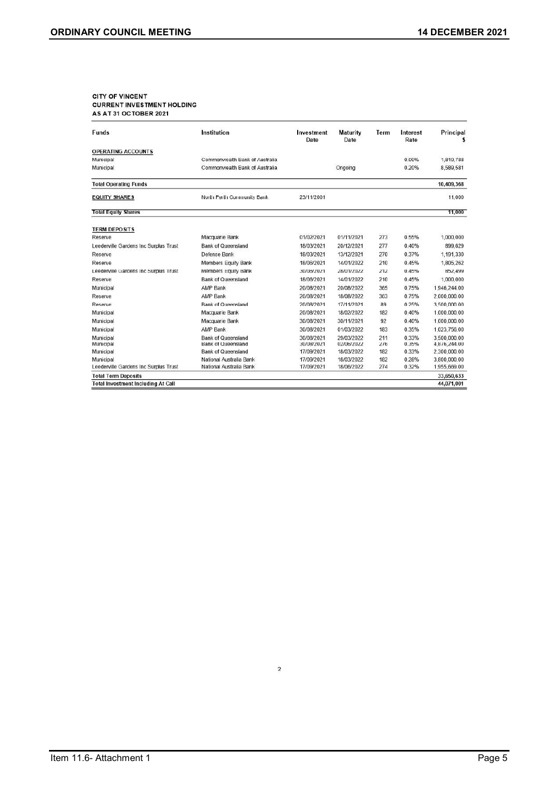# CITY OF VINCENT<br>CURRENT INVESTMENT HOLDING AS AT 31 OCTOBER 2021

| Funds                                     | Institution                    | Investment<br>Date | <b>Maturity</b><br>Date | Term | Interest<br>Rate | Principal    |
|-------------------------------------------|--------------------------------|--------------------|-------------------------|------|------------------|--------------|
| <b>OPERATING ACCOUNTS</b>                 |                                |                    |                         |      |                  |              |
| Municipal                                 | Commonwealth Bank of Australia |                    |                         |      | 0.00%            | 1,819,788    |
| Municipal                                 | Commonwealth Bank of Australia |                    | Ongoing                 |      | 0.20%            | 8.589.581    |
| <b>Total Operating Funds</b>              |                                |                    |                         |      |                  | 10,409,368   |
| <b>EQUITY SHARES</b>                      | North Perth Community Bank     | 23/11/2001         |                         |      |                  | 11.000       |
| <b>Total Equity Shares</b>                |                                |                    |                         |      |                  | 11,000       |
| <b>TERM DEPOSITS</b>                      |                                |                    |                         |      |                  |              |
| Reserve                                   | Macquarie Bank                 | 01/02/2021         | 01/11/2021              | 273  | 0.55%            | 1,000,000    |
| Leederville Gardens Inc Surplus Trust     | <b>Bank of Queensland</b>      | 18/03/2021         | 20/12/2021              | 277  | 0.40%            | 899,629      |
| Reserve                                   | Defense Bank                   | 18/03/2021         | 13/12/2021              | 270  | 0.37%            | 1,191,330    |
| Reserve                                   | Members Equity Bank            | 18/06/2021         | 14/01/2022              | 210  | 0.45%            | 1,805,262    |
| Leederville Gardens Inc Surplus Trust     | <b>Members Equity Bank</b>     | 30/06/2021         | 28/01/2022              | 212  | 0.45%            | 852,499      |
| Reserve                                   | <b>Bank of Queensland</b>      | 18/06/2021         | 14/01/2022              | 210  | 0.45%            | 1,000,000    |
| Municipal                                 | <b>AMP Bank</b>                | 20/08/2021         | 20/08/2022              | 365  | 0.75%            | 1,946,244.00 |
| Reserve                                   | <b>AMP Bank</b>                | 20/08/2021         | 18/08/2022              | 363  | 0.75%            | 2,000,000.00 |
| Reserve                                   | <b>Bank of Queensland</b>      | 20/08/2021         | 17/11/2021              | 89   | 0.25%            | 3.500.000.00 |
| Municipal                                 | Macquarie Bank                 | 20/08/2021         | 18/02/2022              | 182  | 0.40%            | 1,000,000.00 |
| Municipal                                 | Macquarie Bank                 | 30/08/2021         | 30/11/2021              | 92   | 0.40%            | 1,000,000.00 |
| Municipal                                 | <b>AMP Bank</b>                | 30/08/2021         | 01/03/2022              | 183  | 0.35%            | 1,023,756.00 |
| Municipal                                 | <b>Bank of Queensland</b>      | 30/08/2021         | 29/03/2022              | 211  | 0.33%            | 3.500.000.00 |
| Municipal                                 | <b>Bank of Queensland</b>      | 30/08/2021         | 02/06/2022              | 276  | 0.35%            | 4,876,244.00 |
| Municipal                                 | <b>Bank of Queensland</b>      | 17/09/2021         | 18/03/2022              | 182  | 0.33%            | 2,300,000.00 |
| Municipal                                 | National Australia Bank        | 17/09/2021         | 18/03/2022              | 182  | 0.28%            | 3,800,000.00 |
| Leederville Gardens Inc Surplus Trust     | National Australia Bank        | 17/09/2021         | 18/06/2022              | 274  | 0.32%            | 1,955,669.00 |
| <b>Total Term Deposits</b>                |                                |                    |                         |      |                  | 33,650,633   |
| <b>Total Investment Including At Call</b> |                                |                    |                         |      |                  | 44.071.001   |

 $\sqrt{2}$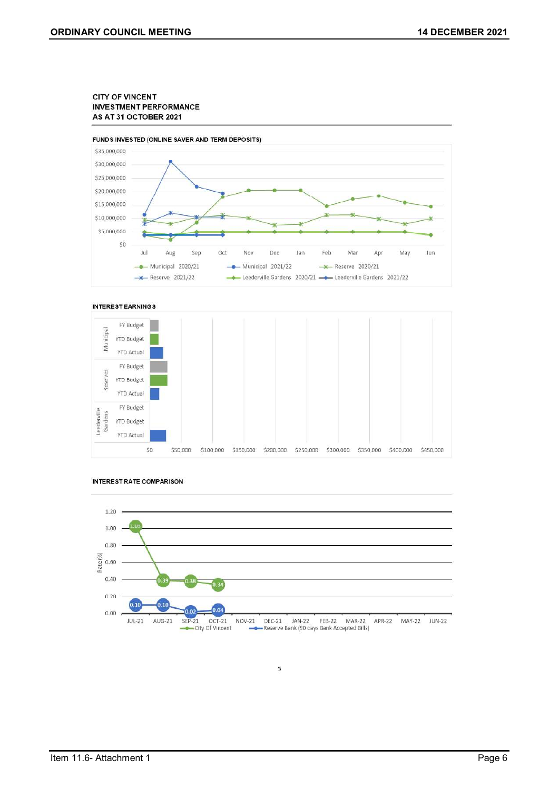#### **CITY OF VINCENT INVESTMENT PERFORMANCE** AS AT 31 OCTOBER 2021



#### **INTEREST EARNINGS**







3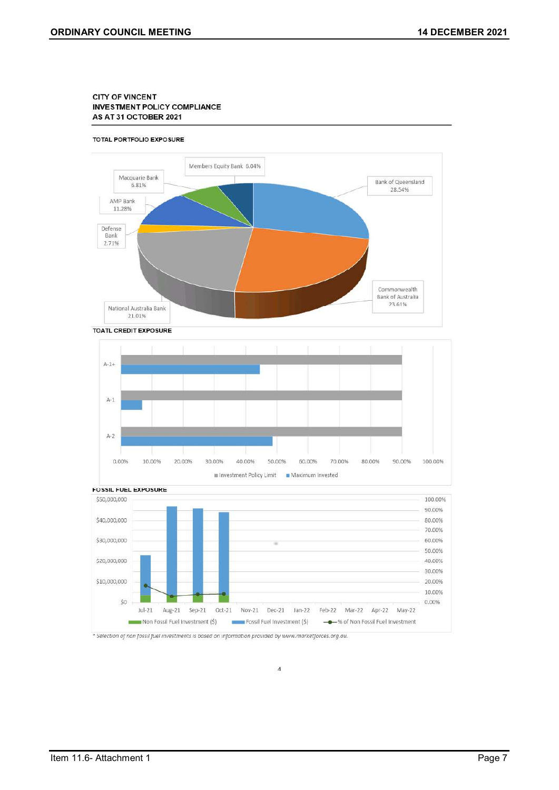#### **CITY OF VINCENT** INVESTMENT POLICY COMPLIANCE AS AT 31 OCTOBER 2021

#### TOTAL PORTFOLIO EXPOSURE









\* Selection of non fossil fuel investments is based on information provided by www.marketforces.org.au.